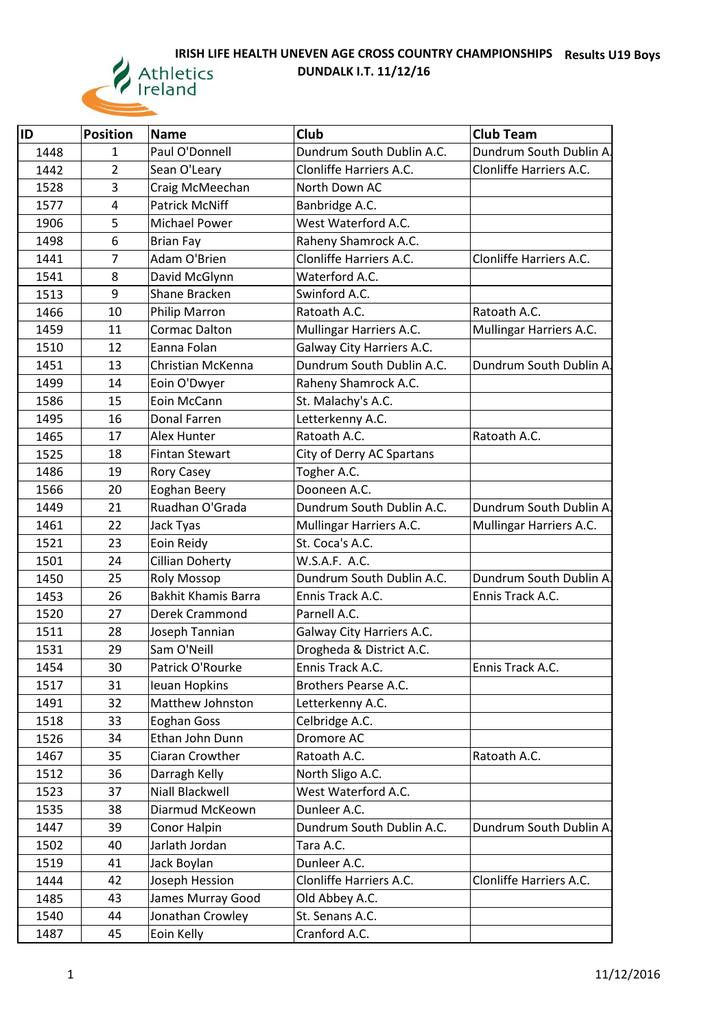## **IRISH LIFE HEALTH UNEVEN AGE CROSS COUNTRY CHAMPIONSHIPS Results U19 Boys**



**DUNDALK I.T. 11/12/16**

| lID  | Position       | <b>Name</b>                | Club                      | <b>Club Team</b>        |
|------|----------------|----------------------------|---------------------------|-------------------------|
| 1448 | 1              | Paul O'Donnell             | Dundrum South Dublin A.C. | Dundrum South Dublin A. |
| 1442 | $\overline{2}$ | Sean O'Leary               | Clonliffe Harriers A.C.   | Clonliffe Harriers A.C. |
| 1528 | 3              | Craig McMeechan            | North Down AC             |                         |
| 1577 | $\overline{4}$ | <b>Patrick McNiff</b>      | Banbridge A.C.            |                         |
| 1906 | 5              | <b>Michael Power</b>       | West Waterford A.C.       |                         |
| 1498 | 6              | <b>Brian Fay</b>           | Raheny Shamrock A.C.      |                         |
| 1441 | $\overline{7}$ | Adam O'Brien               | Clonliffe Harriers A.C.   | Clonliffe Harriers A.C. |
| 1541 | 8              | David McGlynn              | Waterford A.C.            |                         |
| 1513 | 9              | Shane Bracken              | Swinford A.C.             |                         |
| 1466 | 10             | Philip Marron              | Ratoath A.C.              | Ratoath A.C.            |
| 1459 | 11             | Cormac Dalton              | Mullingar Harriers A.C.   | Mullingar Harriers A.C. |
| 1510 | 12             | Eanna Folan                | Galway City Harriers A.C. |                         |
| 1451 | 13             | Christian McKenna          | Dundrum South Dublin A.C. | Dundrum South Dublin A  |
| 1499 | 14             | Eoin O'Dwyer               | Raheny Shamrock A.C.      |                         |
| 1586 | 15             | Eoin McCann                | St. Malachy's A.C.        |                         |
| 1495 | 16             | Donal Farren               | Letterkenny A.C.          |                         |
| 1465 | 17             | Alex Hunter                | Ratoath A.C.              | Ratoath A.C.            |
| 1525 | 18             | <b>Fintan Stewart</b>      | City of Derry AC Spartans |                         |
| 1486 | 19             | Rory Casey                 | Togher A.C.               |                         |
| 1566 | 20             | Eoghan Beery               | Dooneen A.C.              |                         |
| 1449 | 21             | Ruadhan O'Grada            | Dundrum South Dublin A.C. | Dundrum South Dublin A. |
| 1461 | 22             | Jack Tyas                  | Mullingar Harriers A.C.   | Mullingar Harriers A.C. |
| 1521 | 23             | Eoin Reidy                 | St. Coca's A.C.           |                         |
| 1501 | 24             | Cillian Doherty            | W.S.A.F. A.C.             |                         |
| 1450 | 25             | <b>Roly Mossop</b>         | Dundrum South Dublin A.C. | Dundrum South Dublin A  |
| 1453 | 26             | <b>Bakhit Khamis Barra</b> | Ennis Track A.C.          | Ennis Track A.C.        |
| 1520 | 27             | Derek Crammond             | Parnell A.C.              |                         |
| 1511 | 28             | Joseph Tannian             | Galway City Harriers A.C. |                         |
| 1531 | 29             | Sam O'Neill                | Drogheda & District A.C.  |                         |
| 1454 | 30             | Patrick O'Rourke           | Ennis Track A.C.          | Ennis Track A.C.        |
| 1517 | 31             | Ieuan Hopkins              | Brothers Pearse A.C.      |                         |
| 1491 | 32             | Matthew Johnston           | Letterkenny A.C.          |                         |
| 1518 | 33             | Eoghan Goss                | Celbridge A.C.            |                         |
| 1526 | 34             | Ethan John Dunn            | Dromore AC                |                         |
| 1467 | 35             | Ciaran Crowther            | Ratoath A.C.              | Ratoath A.C.            |
| 1512 | 36             | Darragh Kelly              | North Sligo A.C.          |                         |
| 1523 | 37             | Niall Blackwell            | West Waterford A.C.       |                         |
| 1535 | 38             | Diarmud McKeown            | Dunleer A.C.              |                         |
| 1447 | 39             | Conor Halpin               | Dundrum South Dublin A.C. | Dundrum South Dublin A  |
| 1502 | 40             | Jarlath Jordan             | Tara A.C.                 |                         |
| 1519 | 41             | Jack Boylan                | Dunleer A.C.              |                         |
| 1444 | 42             | Joseph Hession             | Clonliffe Harriers A.C.   | Clonliffe Harriers A.C. |
| 1485 | 43             | James Murray Good          | Old Abbey A.C.            |                         |
| 1540 | 44             | Jonathan Crowley           | St. Senans A.C.           |                         |
| 1487 | 45             | Eoin Kelly                 | Cranford A.C.             |                         |
|      |                |                            |                           |                         |